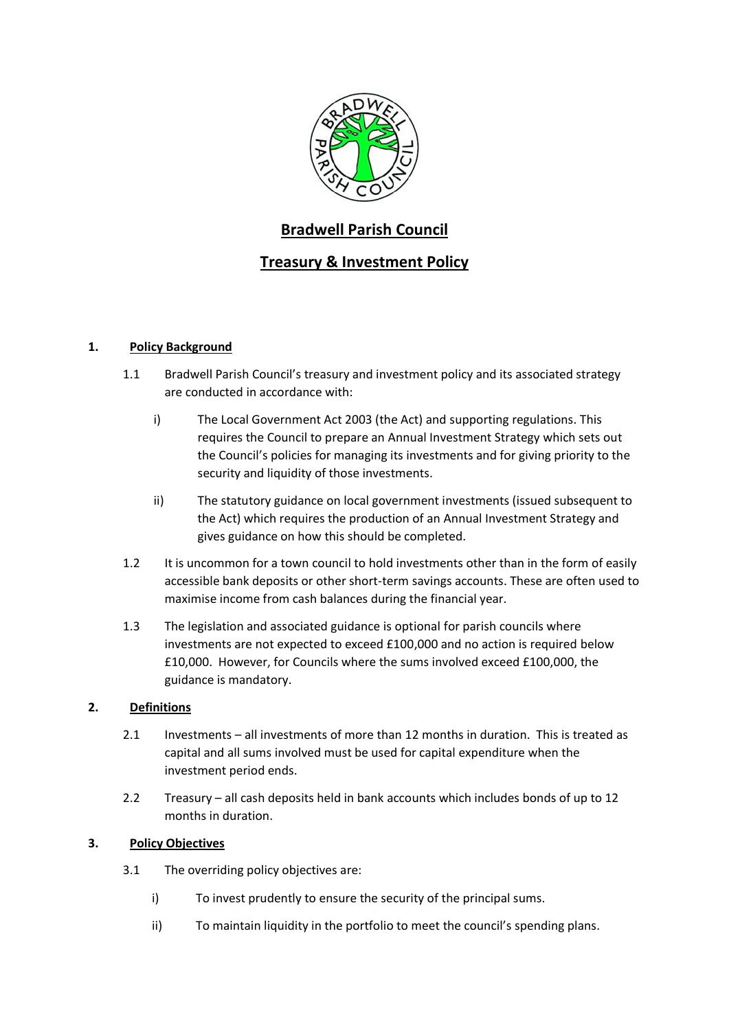

# **Bradwell Parish Council**

# **Treasury & Investment Policy**

## **1. Policy Background**

- 1.1 Bradwell Parish Council's treasury and investment policy and its associated strategy are conducted in accordance with:
	- i) The Local Government Act 2003 (the Act) and supporting regulations. This requires the Council to prepare an Annual Investment Strategy which sets out the Council's policies for managing its investments and for giving priority to the security and liquidity of those investments.
	- ii) The statutory guidance on local government investments (issued subsequent to the Act) which requires the production of an Annual Investment Strategy and gives guidance on how this should be completed.
- 1.2 It is uncommon for a town council to hold investments other than in the form of easily accessible bank deposits or other short-term savings accounts. These are often used to maximise income from cash balances during the financial year.
- 1.3 The legislation and associated guidance is optional for parish councils where investments are not expected to exceed £100,000 and no action is required below £10,000. However, for Councils where the sums involved exceed £100,000, the guidance is mandatory.

## **2. Definitions**

- 2.1 Investments all investments of more than 12 months in duration. This is treated as capital and all sums involved must be used for capital expenditure when the investment period ends.
- 2.2 Treasury all cash deposits held in bank accounts which includes bonds of up to 12 months in duration.

## **3. Policy Objectives**

- 3.1 The overriding policy objectives are:
	- i) To invest prudently to ensure the security of the principal sums.
	- ii) To maintain liquidity in the portfolio to meet the council's spending plans.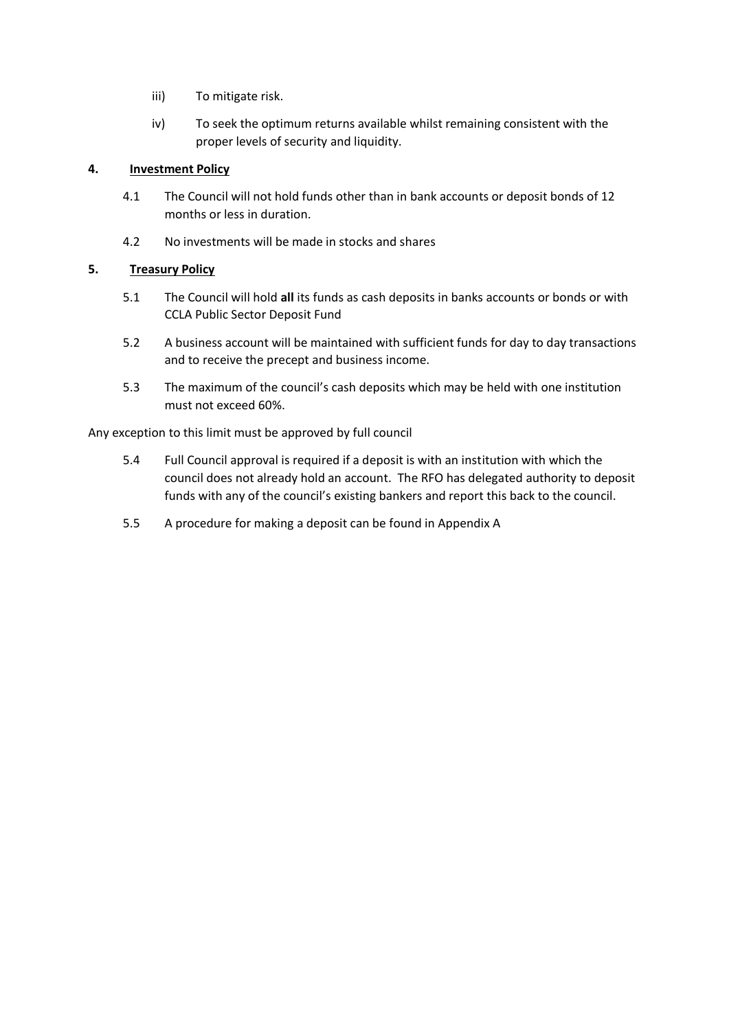- iii) To mitigate risk.
- iv) To seek the optimum returns available whilst remaining consistent with the proper levels of security and liquidity.

### **4. Investment Policy**

- 4.1 The Council will not hold funds other than in bank accounts or deposit bonds of 12 months or less in duration.
- 4.2 No investments will be made in stocks and shares

### **5. Treasury Policy**

- 5.1 The Council will hold **all** its funds as cash deposits in banks accounts or bonds or with CCLA Public Sector Deposit Fund
- 5.2 A business account will be maintained with sufficient funds for day to day transactions and to receive the precept and business income.
- 5.3 The maximum of the council's cash deposits which may be held with one institution must not exceed 60%.

Any exception to this limit must be approved by full council

- 5.4 Full Council approval is required if a deposit is with an institution with which the council does not already hold an account. The RFO has delegated authority to deposit funds with any of the council's existing bankers and report this back to the council.
- 5.5 A procedure for making a deposit can be found in Appendix A